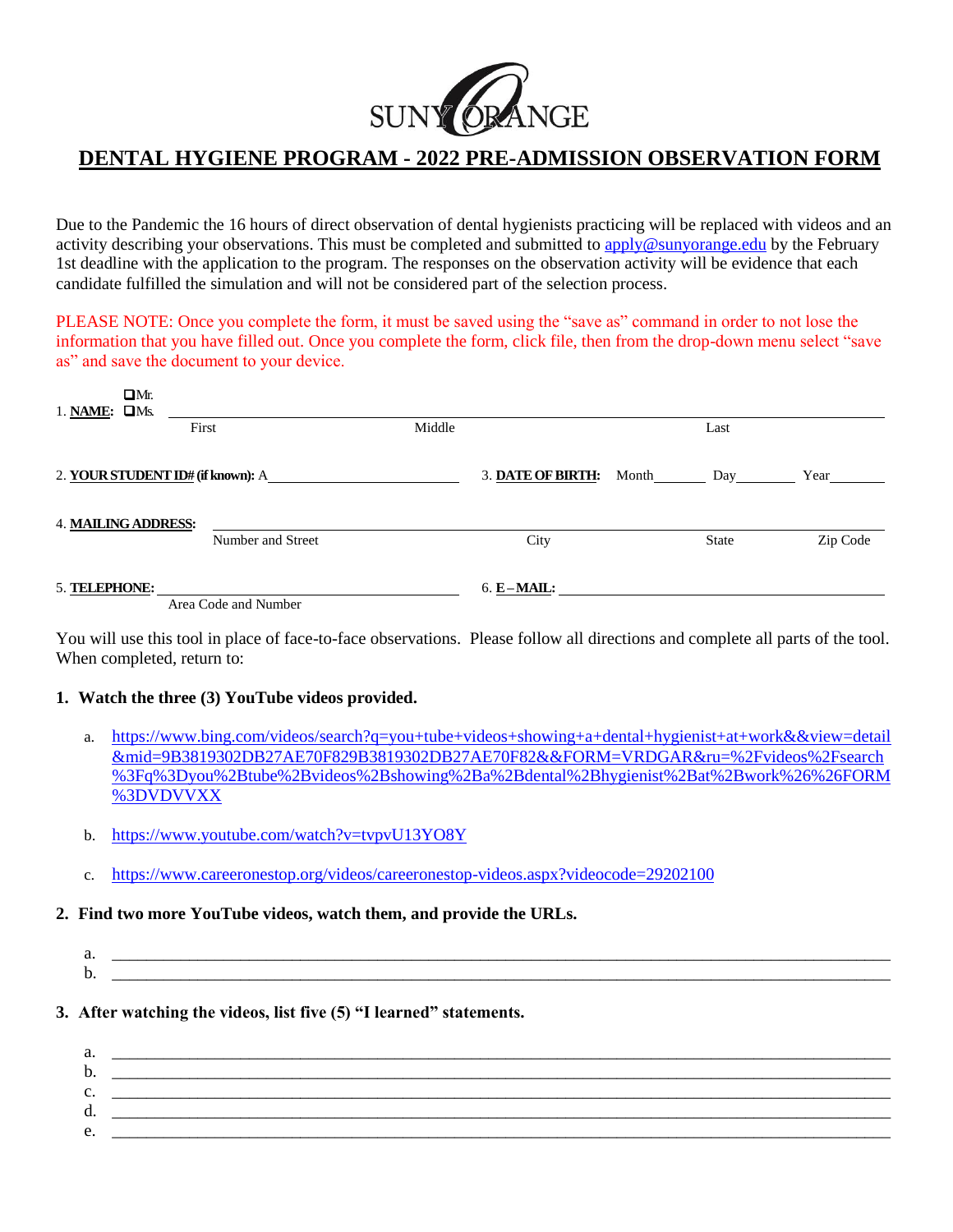

# **DENTAL HYGIENE PROGRAM - 2022 PRE-ADMISSION OBSERVATION FORM**

Due to the Pandemic the 16 hours of direct observation of dental hygienists practicing will be replaced with videos and an activity describing your observations. This must be completed and submitted to [apply@sunyorange.edu](mailto:apply@sunyorange.edu) by the February 1st deadline with the application to the program. The responses on the observation activity will be evidence that each candidate fulfilled the simulation and will not be considered part of the selection process.

PLEASE NOTE: Once you complete the form, it must be saved using the "save as" command in order to not lose the information that you have filled out. Once you complete the form, click file, then from the drop-down menu select "save as" and save the document to your device.

| $\Box Mr$ .<br>1. NAME: $\Box$ Ms. |                      |        |                         |              |          |
|------------------------------------|----------------------|--------|-------------------------|--------------|----------|
|                                    | First                | Middle |                         | Last         |          |
| 2. YOUR STUDENT ID# (if known): A  |                      |        | 3. DATE OF BIRTH: Month | Day          | Year     |
| <b>4. MAILING ADDRESS:</b>         | Number and Street    |        | City                    | <b>State</b> | Zip Code |
| 5. TELEPHONE:                      | Area Code and Number |        | $6. E-MAIL:$            |              |          |

You will use this tool in place of face-to-face observations. Please follow all directions and complete all parts of the tool. When completed, return to:

## **1. Watch the three (3) YouTube videos provided.**

- a. [https://www.bing.com/videos/search?q=you+tube+videos+showing+a+dental+hygienist+at+work&&view=detail](https://www.bing.com/videos/search?q=you+tube+videos+showing+a+dental+hygienist+at+work&&view=detail&mid=9B3819302DB27AE70F829B3819302DB27AE70F82&&FORM=VRDGAR&ru=%2Fvideos%2Fsearch%3Fq%3Dyou%2Btube%2Bvideos%2Bshowing%2Ba%2Bdental%2Bhygienist%2Bat%2Bwork%26%26FORM%3DVDVVXX) [&mid=9B3819302DB27AE70F829B3819302DB27AE70F82&&FORM=VRDGAR&ru=%2Fvideos%2Fsearch](https://www.bing.com/videos/search?q=you+tube+videos+showing+a+dental+hygienist+at+work&&view=detail&mid=9B3819302DB27AE70F829B3819302DB27AE70F82&&FORM=VRDGAR&ru=%2Fvideos%2Fsearch%3Fq%3Dyou%2Btube%2Bvideos%2Bshowing%2Ba%2Bdental%2Bhygienist%2Bat%2Bwork%26%26FORM%3DVDVVXX) [%3Fq%3Dyou%2Btube%2Bvideos%2Bshowing%2Ba%2Bdental%2Bhygienist%2Bat%2Bwork%26%26FORM](https://www.bing.com/videos/search?q=you+tube+videos+showing+a+dental+hygienist+at+work&&view=detail&mid=9B3819302DB27AE70F829B3819302DB27AE70F82&&FORM=VRDGAR&ru=%2Fvideos%2Fsearch%3Fq%3Dyou%2Btube%2Bvideos%2Bshowing%2Ba%2Bdental%2Bhygienist%2Bat%2Bwork%26%26FORM%3DVDVVXX) [%3DVDVVXX](https://www.bing.com/videos/search?q=you+tube+videos+showing+a+dental+hygienist+at+work&&view=detail&mid=9B3819302DB27AE70F829B3819302DB27AE70F82&&FORM=VRDGAR&ru=%2Fvideos%2Fsearch%3Fq%3Dyou%2Btube%2Bvideos%2Bshowing%2Ba%2Bdental%2Bhygienist%2Bat%2Bwork%26%26FORM%3DVDVVXX)
- b. <https://www.youtube.com/watch?v=tvpvU13YO8Y>
- c. <https://www.careeronestop.org/videos/careeronestop-videos.aspx?videocode=29202100>

## **2. Find two more YouTube videos, watch them, and provide the URLs.**

- a. \_\_\_\_\_\_\_\_\_\_\_\_\_\_\_\_\_\_\_\_\_\_\_\_\_\_\_\_\_\_\_\_\_\_\_\_\_\_\_\_\_\_\_\_\_\_\_\_\_\_\_\_\_\_\_\_\_\_\_\_\_\_\_\_\_\_\_\_\_\_\_\_\_\_\_\_\_\_\_\_\_\_\_\_\_\_\_\_\_\_\_ b. \_\_\_\_\_\_\_\_\_\_\_\_\_\_\_\_\_\_\_\_\_\_\_\_\_\_\_\_\_\_\_\_\_\_\_\_\_\_\_\_\_\_\_\_\_\_\_\_\_\_\_\_\_\_\_\_\_\_\_\_\_\_\_\_\_\_\_\_\_\_\_\_\_\_\_\_\_\_\_\_\_\_\_\_\_\_\_\_\_\_\_
- **3. After watching the videos, list five (5) "I learned" statements.**

| a. |  |
|----|--|
| b. |  |
| J. |  |
| d. |  |
| e. |  |
|    |  |